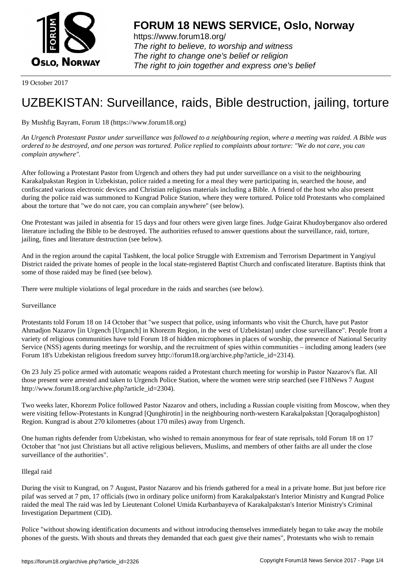

https://www.forum18.org/ The right to believe, to worship and witness The right to change one's belief or religion [The right to join together a](https://www.forum18.org/)nd express one's belief

19 October 2017

# [UZBEKISTAN:](https://www.forum18.org) Surveillance, raids, Bible destruction, jailing, torture

## By Mushfig Bayram, Forum 18 (https://www.forum18.org)

*An Urgench Protestant Pastor under surveillance was followed to a neighbouring region, where a meeting was raided. A Bible was ordered to be destroyed, and one person was tortured. Police replied to complaints about torture: "We do not care, you can complain anywhere".*

After following a Protestant Pastor from Urgench and others they had put under surveillance on a visit to the neighbouring Karakalpakstan Region in Uzbekistan, police raided a meeting for a meal they were participating in, searched the house, and confiscated various electronic devices and Christian religious materials including a Bible. A friend of the host who also present during the police raid was summoned to Kungrad Police Station, where they were tortured. Police told Protestants who complained about the torture that "we do not care, you can complain anywhere" (see below).

One Protestant was jailed in absentia for 15 days and four others were given large fines. Judge Gairat Khudoyberganov also ordered literature including the Bible to be destroyed. The authorities refused to answer questions about the surveillance, raid, torture, jailing, fines and literature destruction (see below).

And in the region around the capital Tashkent, the local police Struggle with Extremism and Terrorism Department in Yangiyul District raided the private homes of people in the local state-registered Baptist Church and confiscated literature. Baptists think that some of those raided may be fined (see below).

There were multiple violations of legal procedure in the raids and searches (see below).

### Surveillance

Protestants told Forum 18 on 14 October that "we suspect that police, using informants who visit the Church, have put Pastor Ahmadjon Nazarov [in Urgench [Urganch] in Khorezm Region, in the west of Uzbekistan] under close surveillance". People from a variety of religious communities have told Forum 18 of hidden microphones in places of worship, the presence of National Security Service (NSS) agents during meetings for worship, and the recruitment of spies within communities – including among leaders (see Forum 18's Uzbekistan religious freedom survey http://forum18.org/archive.php?article\_id=2314).

On 23 July 25 police armed with automatic weapons raided a Protestant church meeting for worship in Pastor Nazarov's flat. All those present were arrested and taken to Urgench Police Station, where the women were strip searched (see F18News 7 August http://www.forum18.org/archive.php?article\_id=2304).

Two weeks later, Khorezm Police followed Pastor Nazarov and others, including a Russian couple visiting from Moscow, when they were visiting fellow-Protestants in Kungrad [Qunghirotin] in the neighbouring north-western Karakalpakstan [Qoraqalpoghiston] Region. Kungrad is about 270 kilometres (about 170 miles) away from Urgench.

One human rights defender from Uzbekistan, who wished to remain anonymous for fear of state reprisals, told Forum 18 on 17 October that "not just Christians but all active religious believers, Muslims, and members of other faiths are all under the close surveillance of the authorities".

### Illegal raid

During the visit to Kungrad, on 7 August, Pastor Nazarov and his friends gathered for a meal in a private home. But just before rice pilaf was served at 7 pm, 17 officials (two in ordinary police uniform) from Karakalpakstan's Interior Ministry and Kungrad Police raided the meal The raid was led by Lieutenant Colonel Umida Kurbanbayeva of Karakalpakstan's Interior Ministry's Criminal Investigation Department (CID).

Police "without showing identification documents and without introducing themselves immediately began to take away the mobile phones of the guests. With shouts and threats they demanded that each guest give their names", Protestants who wish to remain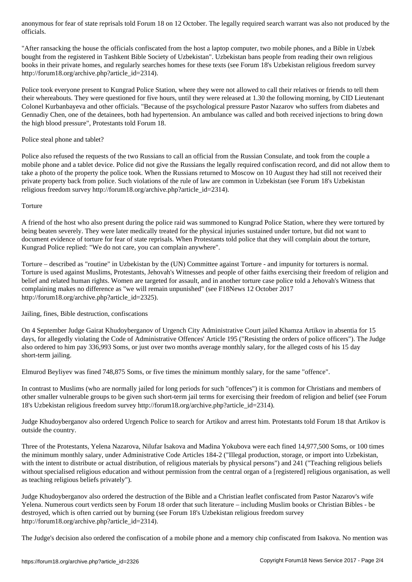"After ransacking the house the officials confiscated from the host a laptop computer, two mobile phones, and a Bible in Uzbek bought from the registered in Tashkent Bible Society of Uzbekistan". Uzbekistan bans people from reading their own religious books in their private homes, and regularly searches homes for these texts (see Forum 18's Uzbekistan religious freedom survey http://forum18.org/archive.php?article\_id=2314).

Police took everyone present to Kungrad Police Station, where they were not allowed to call their relatives or friends to tell them their whereabouts. They were questioned for five hours, until they were released at 1.30 the following morning, by CID Lieutenant Colonel Kurbanbayeva and other officials. "Because of the psychological pressure Pastor Nazarov who suffers from diabetes and Gennadiy Chen, one of the detainees, both had hypertension. An ambulance was called and both received injections to bring down the high blood pressure", Protestants told Forum 18.

Police steal phone and tablet?

Police also refused the requests of the two Russians to call an official from the Russian Consulate, and took from the couple a mobile phone and a tablet device. Police did not give the Russians the legally required confiscation record, and did not allow them to take a photo of the property the police took. When the Russians returned to Moscow on 10 August they had still not received their private property back from police. Such violations of the rule of law are common in Uzbekistan (see Forum 18's Uzbekistan religious freedom survey http://forum18.org/archive.php?article\_id=2314).

**Torture** 

A friend of the host who also present during the police raid was summoned to Kungrad Police Station, where they were tortured by being beaten severely. They were later medically treated for the physical injuries sustained under torture, but did not want to document evidence of torture for fear of state reprisals. When Protestants told police that they will complain about the torture, Kungrad Police replied: "We do not care, you can complain anywhere".

Torture – described as "routine" in Uzbekistan by the (UN) Committee against Torture - and impunity for torturers is normal. Torture is used against Muslims, Protestants, Jehovah's Witnesses and people of other faiths exercising their freedom of religion and belief and related human rights. Women are targeted for assault, and in another torture case police told a Jehovah's Witness that complaining makes no difference as "we will remain unpunished" (see F18News 12 October 2017 http://forum18.org/archive.php?article\_id=2325).

Jailing, fines, Bible destruction, confiscations

On 4 September Judge Gairat Khudoyberganov of Urgench City Administrative Court jailed Khamza Artikov in absentia for 15 days, for allegedly violating the Code of Administrative Offences' Article 195 ("Resisting the orders of police officers"). The Judge also ordered to him pay 336,993 Soms, or just over two months average monthly salary, for the alleged costs of his 15 day short-term jailing.

Elmurod Beyliyev was fined 748,875 Soms, or five times the minimum monthly salary, for the same "offence".

In contrast to Muslims (who are normally jailed for long periods for such "offences") it is common for Christians and members of other smaller vulnerable groups to be given such short-term jail terms for exercising their freedom of religion and belief (see Forum 18's Uzbekistan religious freedom survey http://forum18.org/archive.php?article\_id=2314).

Judge Khudoyberganov also ordered Urgench Police to search for Artikov and arrest him. Protestants told Forum 18 that Artikov is outside the country.

Three of the Protestants, Yelena Nazarova, Nilufar Isakova and Madina Yokubova were each fined 14,977,500 Soms, or 100 times the minimum monthly salary, under Administrative Code Articles 184-2 ("Illegal production, storage, or import into Uzbekistan, with the intent to distribute or actual distribution, of religious materials by physical persons") and 241 ("Teaching religious beliefs without specialised religious education and without permission from the central organ of a [registered] religious organisation, as well as teaching religious beliefs privately").

Judge Khudoyberganov also ordered the destruction of the Bible and a Christian leaflet confiscated from Pastor Nazarov's wife Yelena. Numerous court verdicts seen by Forum 18 order that such literature – including Muslim books or Christian Bibles - be destroyed, which is often carried out by burning (see Forum 18's Uzbekistan religious freedom survey http://forum18.org/archive.php?article\_id=2314).

The Judge's decision also ordered the confiscation of a mobile phone and a memory chip confiscated from Isakova. No mention was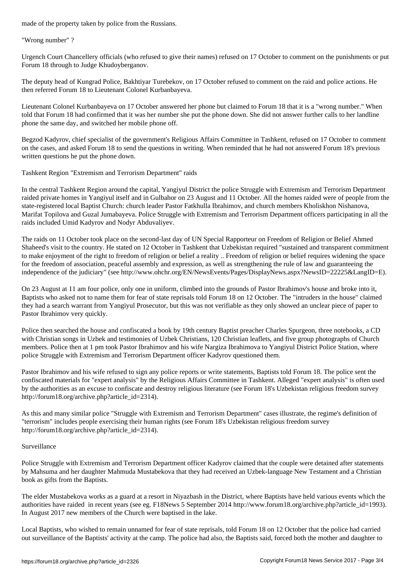"Wrong number" ?

Urgench Court Chancellery officials (who refused to give their names) refused on 17 October to comment on the punishments or put Forum 18 through to Judge Khudoyberganov.

The deputy head of Kungrad Police, Bakhtiyar Turebekov, on 17 October refused to comment on the raid and police actions. He then referred Forum 18 to Lieutenant Colonel Kurbanbayeva.

Lieutenant Colonel Kurbanbayeva on 17 October answered her phone but claimed to Forum 18 that it is a "wrong number." When told that Forum 18 had confirmed that it was her number she put the phone down. She did not answer further calls to her landline phone the same day, and switched her mobile phone off.

Begzod Kadyrov, chief specialist of the government's Religious Affairs Committee in Tashkent, refused on 17 October to comment on the cases, and asked Forum 18 to send the questions in writing. When reminded that he had not answered Forum 18's previous written questions he put the phone down.

Tashkent Region "Extremism and Terrorism Department" raids

In the central Tashkent Region around the capital, Yangiyul District the police Struggle with Extremism and Terrorism Department raided private homes in Yangiyul itself and in Gulbahor on 23 August and 11 October. All the homes raided were of people from the state-registered local Baptist Church: church leader Pastor Fatkhulla Ibrahimov, and church members Kholiskhon Nishanova, Marifat Topilova and Guzal Jumabayeva. Police Struggle with Extremism and Terrorism Department officers participating in all the raids included Umid Kadyrov and Nodyr Abduvaliyev.

The raids on 11 October took place on the second-last day of UN Special Rapporteur on Freedom of Religion or Belief Ahmed Shaheed's visit to the country. He stated on 12 October in Tashkent that Uzbekistan required "sustained and transparent commitment to make enjoyment of the right to freedom of religion or belief a reality .. Freedom of religion or belief requires widening the space for the freedom of association, peaceful assembly and expression, as well as strengthening the rule of law and guaranteeing the independence of the judiciary" (see http://www.ohchr.org/EN/NewsEvents/Pages/DisplayNews.aspx?NewsID=22225&LangID=E).

On 23 August at 11 am four police, only one in uniform, climbed into the grounds of Pastor Ibrahimov's house and broke into it, Baptists who asked not to name them for fear of state reprisals told Forum 18 on 12 October. The "intruders in the house" claimed they had a search warrant from Yangiyul Prosecutor, but this was not verifiable as they only showed an unclear piece of paper to Pastor Ibrahimov very quickly.

Police then searched the house and confiscated a book by 19th century Baptist preacher Charles Spurgeon, three notebooks, a CD with Christian songs in Uzbek and testimonies of Uzbek Christians, 120 Christian leaflets, and five group photographs of Church members. Police then at 1 pm took Pastor Ibrahimov and his wife Nargiza Ibrahimova to Yangiyul District Police Station, where police Struggle with Extremism and Terrorism Department officer Kadyrov questioned them.

Pastor Ibrahimov and his wife refused to sign any police reports or write statements, Baptists told Forum 18. The police sent the confiscated materials for "expert analysis" by the Religious Affairs Committee in Tashkent. Alleged "expert analysis" is often used by the authorities as an excuse to confiscate and destroy religious literature (see Forum 18's Uzbekistan religious freedom survey http://forum18.org/archive.php?article\_id=2314).

As this and many similar police "Struggle with Extremism and Terrorism Department" cases illustrate, the regime's definition of "terrorism" includes people exercising their human rights (see Forum 18's Uzbekistan religious freedom survey http://forum18.org/archive.php?article\_id=2314).

### Surveillance

Police Struggle with Extremism and Terrorism Department officer Kadyrov claimed that the couple were detained after statements by Mahsuma and her daughter Mahmuda Mustabekova that they had received an Uzbek-language New Testament and a Christian book as gifts from the Baptists.

The elder Mustabekova works as a guard at a resort in Niyazbash in the District, where Baptists have held various events which the authorities have raided in recent years (see eg. F18News 5 September 2014 http://www.forum18.org/archive.php?article\_id=1993). In August 2017 new members of the Church were baptised in the lake.

Local Baptists, who wished to remain unnamed for fear of state reprisals, told Forum 18 on 12 October that the police had carried out surveillance of the Baptists' activity at the camp. The police had also, the Baptists said, forced both the mother and daughter to